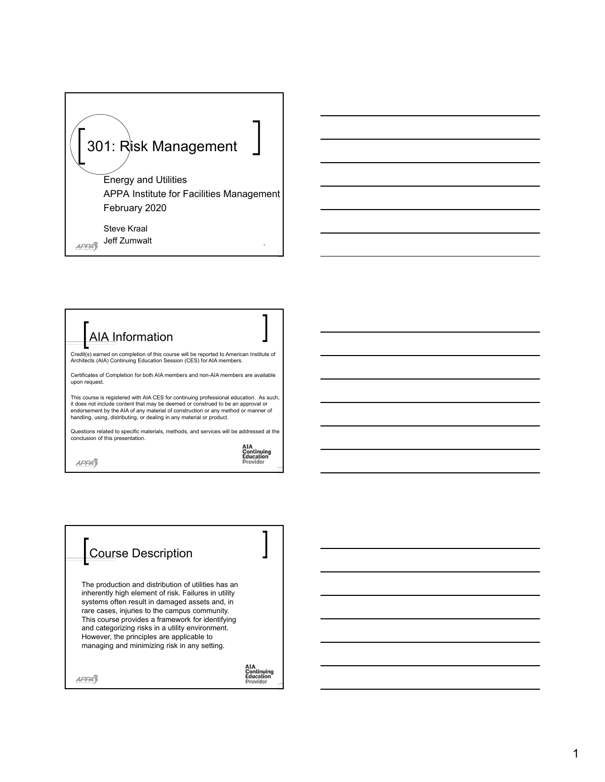## 301: Risk Management

Energy and Utilities APPA Institute for Facilities Management February 2020

Steve Kraal Jeff Zumwalt 1 APPA<sub>3</sub>

## AIA Information

Credit(s) earned on completion of this course will be reported to American Institute of Architects (AIA) Continuing Education Session (CES) for AIA members.

Certificates of Completion for both AIA members and non-AIA members are available upon request.

This course is registered with AIA CES for continuing professional education. As such,<br>it does not include content that may be deemed or construed to be an approval or<br>endorsement by the AIA of any material of construction

Questions related to specific materials, methods, and services will be addressed at the conclusion of this presentation.

**AIA<br>Continuing<br>Education**<br>Provider

Continuing<br>Education

Provider

## Course Description

The production and distribution of utilities has an inherently high element of risk. Failures in utility systems often result in damaged assets and, in rare cases, injuries to the campus community. This course provides a framework for identifying and categorizing risks in a utility environment. However, the principles are applicable to managing and minimizing risk in any setting.

 $APPA\overline{J}$ 

APPA<sub>3</sub>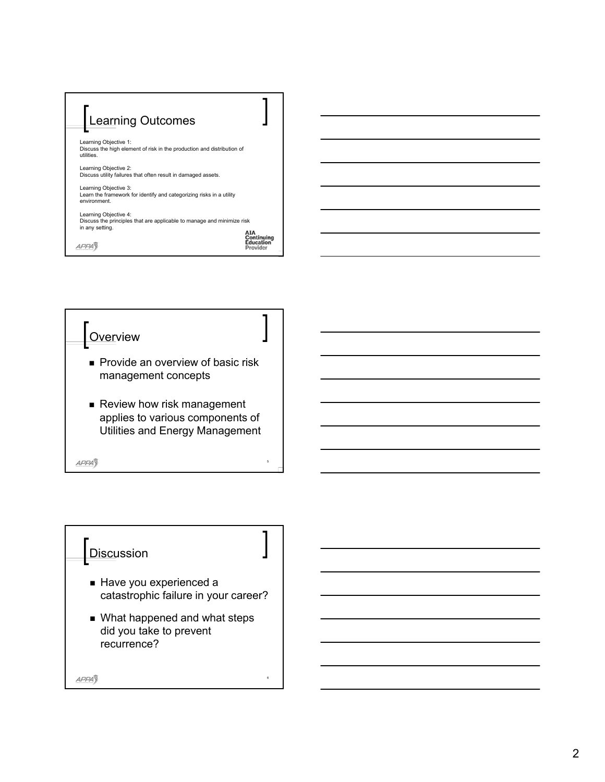



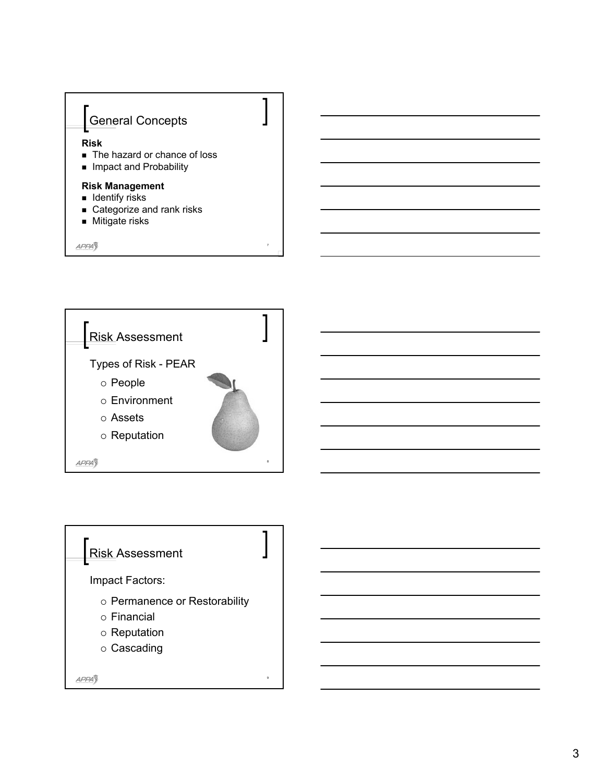

7

**APPA** 



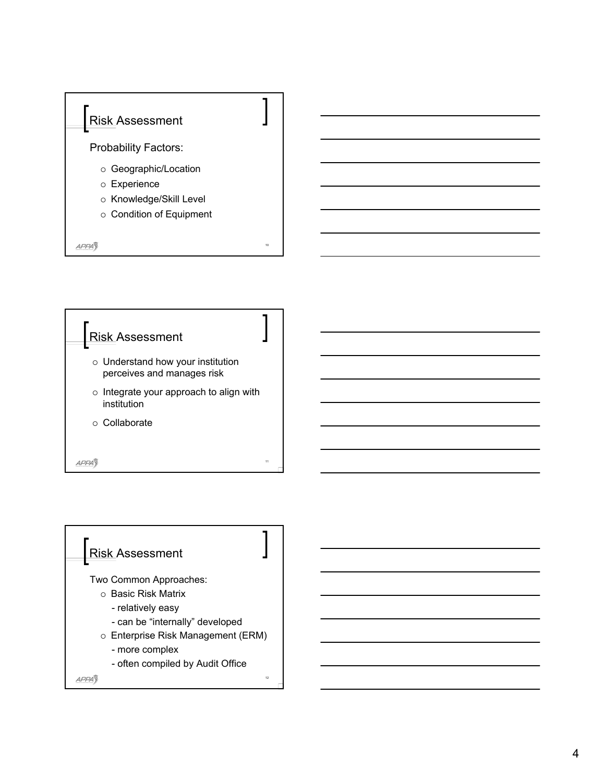



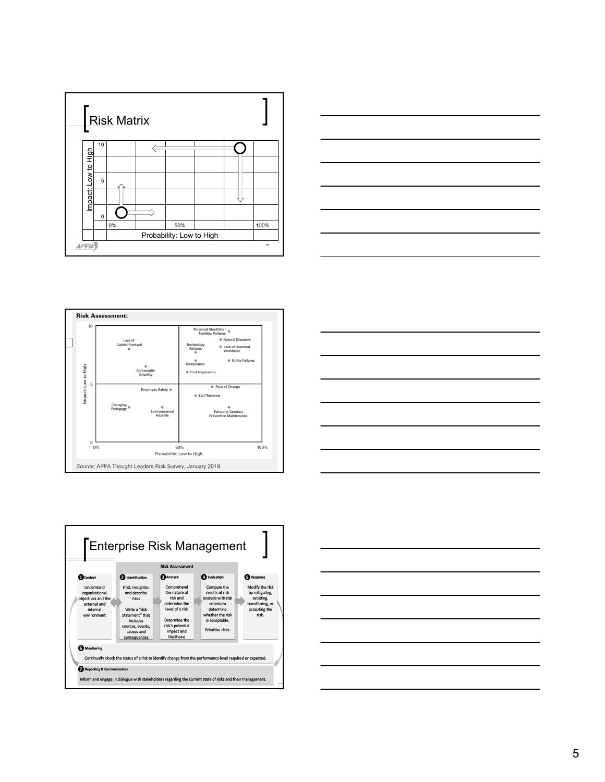









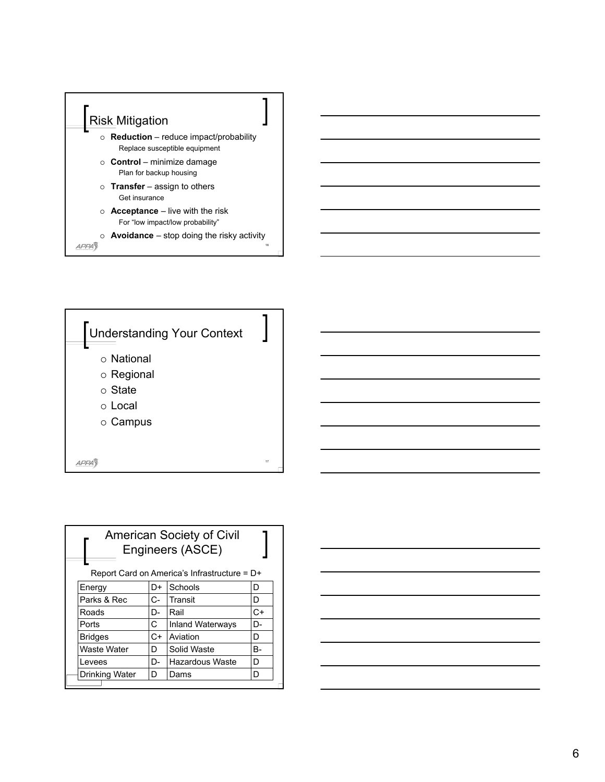



| <b>American Society of Civil</b><br>Engineers (ASCE) |      |                         |    |  |  |
|------------------------------------------------------|------|-------------------------|----|--|--|
| Report Card on America's Infrastructure = $D+$       |      |                         |    |  |  |
| Energy                                               | D+   | Schools                 | D  |  |  |
| Parks & Rec                                          | C-   | Transit                 | D  |  |  |
| Roads                                                | D-   | Rail                    | C+ |  |  |
| Ports                                                | С    | <b>Inland Waterways</b> | D- |  |  |
| <b>Bridges</b>                                       | $C+$ | Aviation                | D  |  |  |
| Waste Water                                          | D    | Solid Waste             | B- |  |  |
| Levees                                               | D-   | Hazardous Waste         | D  |  |  |
| Drinking Water                                       | D    | Dams                    | D  |  |  |

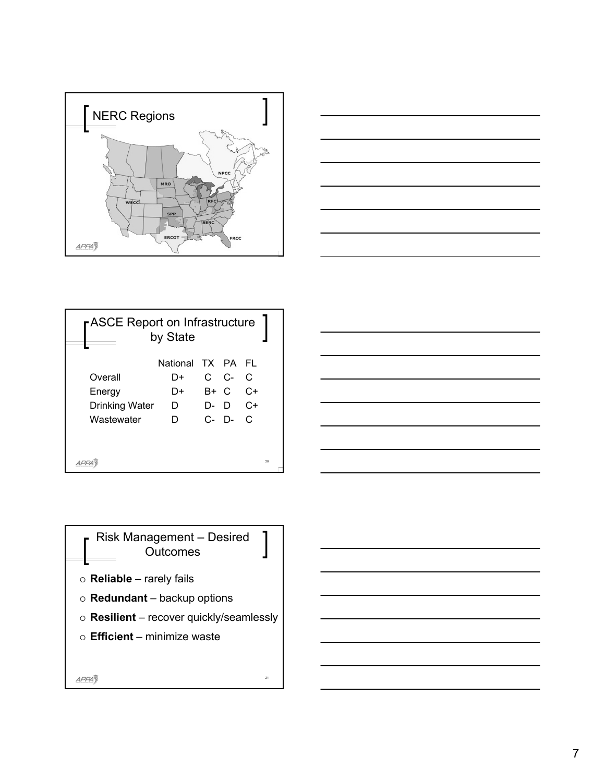



| <b>ASCE Report on Infrastructure</b><br>by State |                   |  |               |      |    |  |  |
|--------------------------------------------------|-------------------|--|---------------|------|----|--|--|
|                                                  | National TX PA FI |  |               |      |    |  |  |
| Overall                                          | D+                |  | $C$ $C$ - $C$ |      |    |  |  |
| Energy                                           | D+                |  | B+ C          | $C+$ |    |  |  |
| <b>Drinking Water</b>                            | D                 |  | $D - D$ $C +$ |      |    |  |  |
| Wastewater                                       | D.                |  | $C - D - C$   |      |    |  |  |
|                                                  |                   |  |               |      |    |  |  |
|                                                  |                   |  |               |      |    |  |  |
|                                                  |                   |  |               |      | 20 |  |  |



Risk Management – Desired **Outcomes** 

- **Reliable** rarely fails
- **Redundant** backup options
- **Resilient** recover quickly/seamlessly

21

**Efficient** – minimize waste

APPA3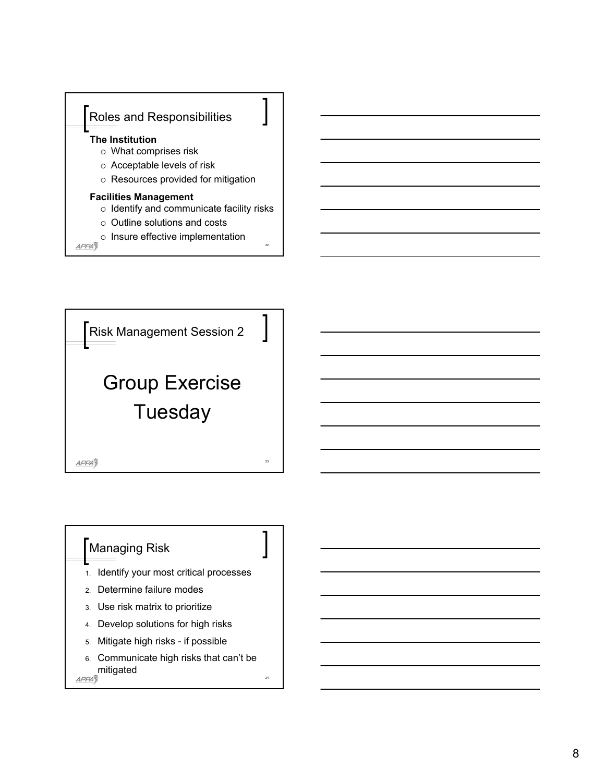



## Managing Risk

- 1. Identify your most critical processes
- 2. Determine failure modes
- 3. Use risk matrix to prioritize
- 4. Develop solutions for high risks
- 5. Mitigate high risks if possible
- 6. Communicate high risks that can't be mitigated

24